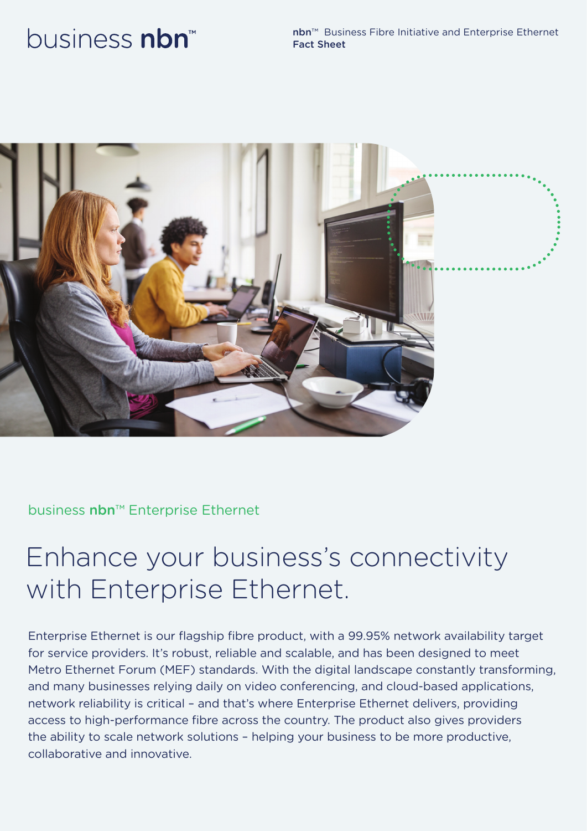# business nbn<sup>™</sup>

nbn™ Business Fibre Initiative and Enterprise Ethernet Fact Sheet



### business nbn<sup>™</sup> Enterprise Ethernet

## Enhance your business's connectivity with Enterprise Ethernet.

Enterprise Ethernet is our flagship fibre product, with a 99.95% network availability target for service providers. It's robust, reliable and scalable, and has been designed to meet Metro Ethernet Forum (MEF) standards. With the digital landscape constantly transforming, and many businesses relying daily on video conferencing, and cloud-based applications, network reliability is critical – and that's where Enterprise Ethernet delivers, providing access to high-performance fibre across the country. The product also gives providers the ability to scale network solutions – helping your business to be more productive, collaborative and innovative.